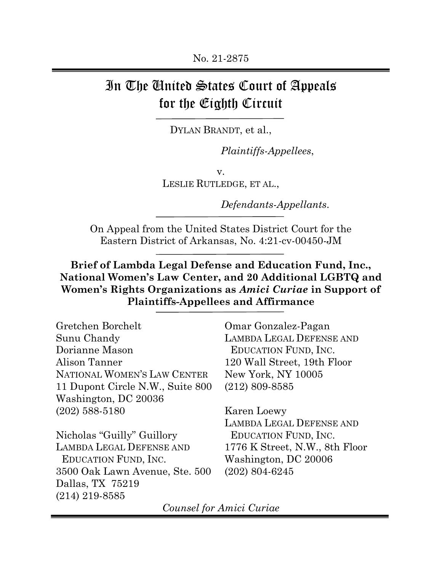# In The United States Court of Appeals for the Eighth Circuit

DYLAN BRANDT, et al.,

*Plaintiffs-Appellees*,

v. LESLIE RUTLEDGE, ET AL.,

*Defendants-Appellants*.

On Appeal from the United States District Court for the Eastern District of Arkansas, No. 4:21-cv-00450-JM

**Brief of Lambda Legal Defense and Education Fund, Inc., National Women's Law Center, and 20 Additional LGBTQ and Women's Rights Organizations as** *Amici Curiae* **in Support of Plaintiffs-Appellees and Affirmance**

| Gretchen Borchelt                |  |
|----------------------------------|--|
| Sunu Chandy                      |  |
| Dorianne Mason                   |  |
| Alison Tanner                    |  |
| NATIONAL WOMEN'S LAW CENTER      |  |
| 11 Dupont Circle N.W., Suite 800 |  |
| Washington, DC 20036             |  |
| $(202)$ 588-5180                 |  |
|                                  |  |

Nicholas "Guilly" Guillory LAMBDA LEGAL DEFENSE AND EDUCATION FUND, INC. 3500 Oak Lawn Avenue, Ste. 500 Dallas, TX 75219 (214) 219-8585

Omar Gonzalez-Pagan LAMBDA LEGAL DEFENSE AND EDUCATION FUND, INC. 120 Wall Street, 19th Floor New York, NY 10005 (212) 809-8585

Karen Loewy LAMBDA LEGAL DEFENSE AND EDUCATION FUND, INC. 1776 K Street, N.W., 8th Floor Washington, DC 20006 (202) 804-6245

*Counsel for Amici Curiae*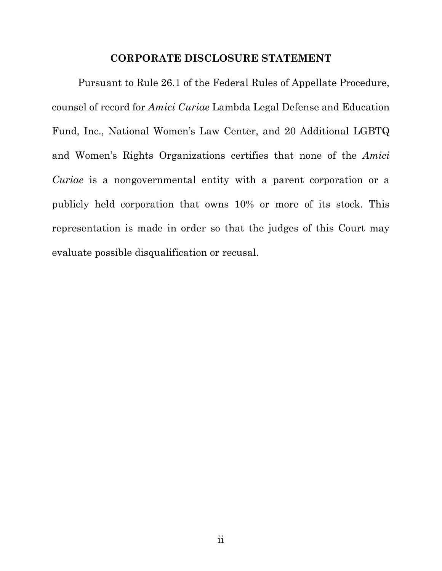### **CORPORATE DISCLOSURE STATEMENT**

Pursuant to Rule 26.1 of the Federal Rules of Appellate Procedure, counsel of record for *Amici Curiae* Lambda Legal Defense and Education Fund, Inc., National Women's Law Center, and 20 Additional LGBTQ and Women's Rights Organizations certifies that none of the *Amici Curiae* is a nongovernmental entity with a parent corporation or a publicly held corporation that owns 10% or more of its stock. This representation is made in order so that the judges of this Court may evaluate possible disqualification or recusal.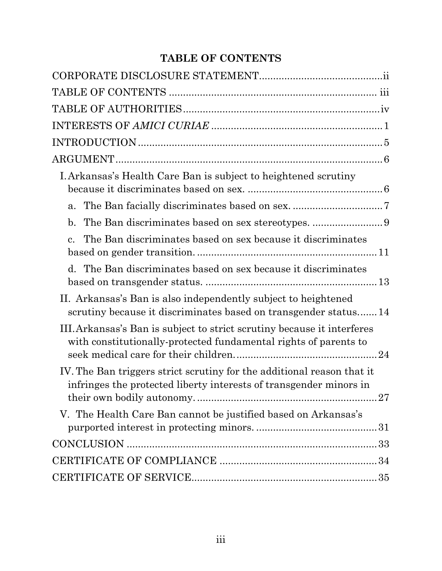## **TABLE OF CONTENTS**

| I. Arkansas's Health Care Ban is subject to heightened scrutiny                                                                                    |
|----------------------------------------------------------------------------------------------------------------------------------------------------|
| a.                                                                                                                                                 |
| $\mathbf{b}$ .                                                                                                                                     |
| The Ban discriminates based on sex because it discriminates<br>$\mathbf{c}$ .                                                                      |
| d. The Ban discriminates based on sex because it discriminates                                                                                     |
| II. Arkansas's Ban is also independently subject to heightened<br>scrutiny because it discriminates based on transgender status14                  |
| III. Arkansas's Ban is subject to strict scrutiny because it interferes<br>with constitutionally-protected fundamental rights of parents to        |
| IV. The Ban triggers strict scrutiny for the additional reason that it<br>infringes the protected liberty interests of transgender minors in<br>27 |
| V. The Health Care Ban cannot be justified based on Arkansas's                                                                                     |
|                                                                                                                                                    |
|                                                                                                                                                    |
|                                                                                                                                                    |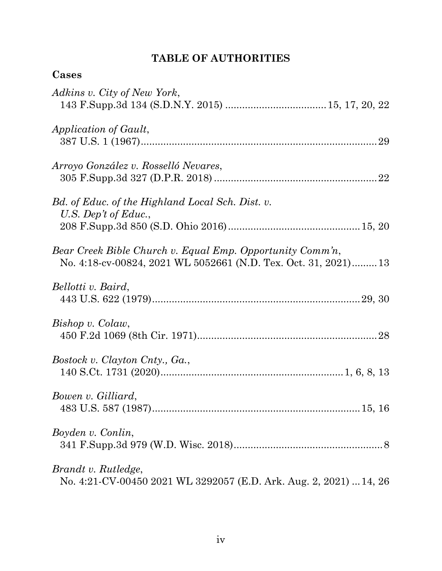## **TABLE OF AUTHORITIES**

| Cases                                                                                                                        |
|------------------------------------------------------------------------------------------------------------------------------|
| Adkins v. City of New York,                                                                                                  |
| Application of Gault,                                                                                                        |
| Arroyo González v. Rosselló Nevares,                                                                                         |
| Bd. of Educ. of the Highland Local Sch. Dist. v.<br>U.S. Dep't of Educ.,                                                     |
| Bear Creek Bible Church v. Equal Emp. Opportunity Comm'n,<br>No. 4:18-cv-00824, 2021 WL 5052661 (N.D. Tex. Oct. 31, 2021) 13 |
| Bellotti v. Baird,                                                                                                           |
| Bishop v. Colaw,                                                                                                             |
| Bostock v. Clayton Cnty., Ga.,                                                                                               |
| Bowen v. Gilliard,                                                                                                           |
| Boyden v. Conlin,                                                                                                            |
| Brandt v. Rutledge,<br>No. 4:21-CV-00450 2021 WL 3292057 (E.D. Ark. Aug. 2, 2021)  14, 26                                    |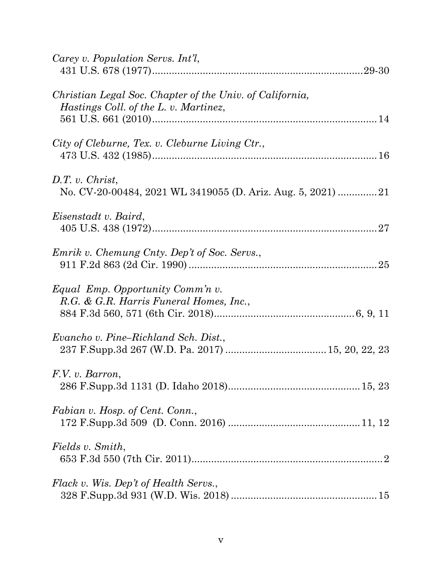| Carey v. Population Servs. Int'l,                                                                 |
|---------------------------------------------------------------------------------------------------|
| Christian Legal Soc. Chapter of the Univ. of California,<br>Hastings Coll. of the L. v. Martinez, |
| City of Cleburne, Tex. v. Cleburne Living Ctr.,                                                   |
| $D.T. v.$ Christ,<br>No. CV-20-00484, 2021 WL 3419055 (D. Ariz. Aug. 5, 2021) 21                  |
| Eisenstadt v. Baird,                                                                              |
| Emrik v. Chemung Cnty. Dep't of Soc. Servs.,                                                      |
| Equal Emp. Opportunity Comm'n v.<br>R.G. & G.R. Harris Funeral Homes, Inc.,                       |
| Evancho v. Pine–Richland Sch. Dist.,                                                              |
| F.V. v. Barron,                                                                                   |
| Fabian v. Hosp. of Cent. Conn.,                                                                   |
| Fields v. Smith,                                                                                  |
| Flack v. Wis. Dep't of Health Servs.,                                                             |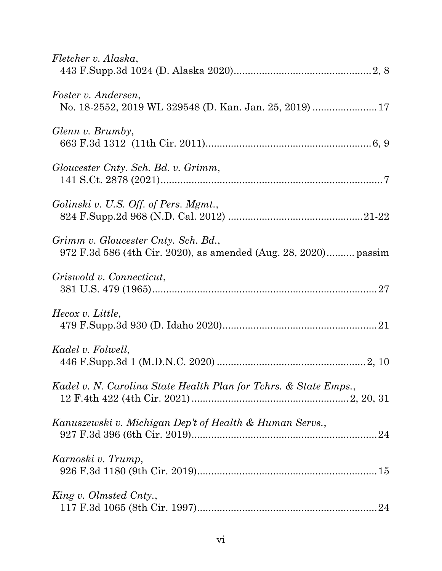| Fletcher v. Alaska,                                                                                    |
|--------------------------------------------------------------------------------------------------------|
| Foster v. Andersen,<br>No. 18-2552, 2019 WL 329548 (D. Kan. Jan. 25, 2019)  17                         |
| Glenn v. Brumby,                                                                                       |
| Gloucester Cnty. Sch. Bd. v. Grimm,                                                                    |
| Golinski v. U.S. Off. of Pers. Mgmt.,                                                                  |
| Grimm v. Gloucester Cnty. Sch. Bd.,<br>972 F.3d 586 (4th Cir. 2020), as amended (Aug. 28, 2020) passim |
| Griswold v. Connecticut,                                                                               |
| Hecox v. Little,                                                                                       |
| Kadel v. Folwell,                                                                                      |
| Kadel v. N. Carolina State Health Plan for Tchrs. & State Emps.,                                       |
| Kanuszewski v. Michigan Dep't of Health & Human Servs.,                                                |
| Karnoski v. Trump,                                                                                     |
| King v. Olmsted Cnty.,                                                                                 |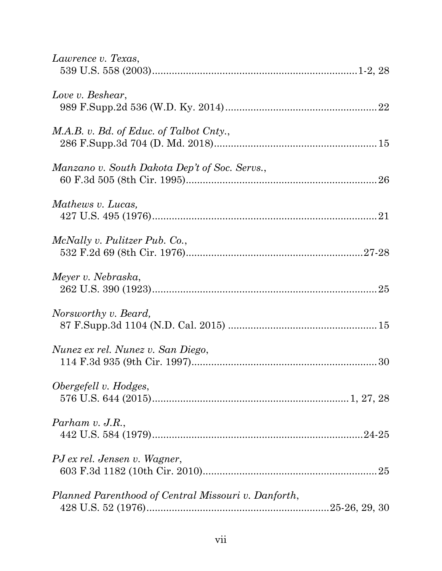| Lawrence v. Texas,                                  |  |
|-----------------------------------------------------|--|
| Love v. Beshear,                                    |  |
| M.A.B. v. Bd. of Educ. of Talbot Cnty.,             |  |
| Manzano v. South Dakota Dep't of Soc. Servs.,       |  |
| Mathews v. Lucas,                                   |  |
| McNally v. Pulitzer Pub. Co.,                       |  |
| Meyer v. Nebraska,                                  |  |
| Norsworthy v. Beard,                                |  |
| Nunez ex rel. Nunez v. San Diego,                   |  |
| Obergefell v. Hodges,                               |  |
| Parham $v.$ J.R.,                                   |  |
| PJ ex rel. Jensen v. Wagner,                        |  |
| Planned Parenthood of Central Missouri v. Danforth, |  |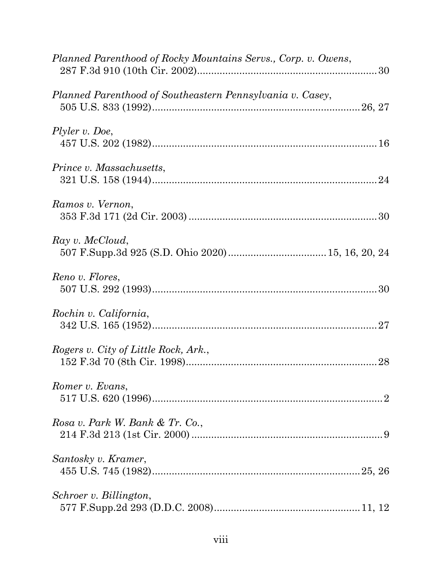| Planned Parenthood of Rocky Mountains Servs., Corp. v. Owens, |
|---------------------------------------------------------------|
| Planned Parenthood of Southeastern Pennsylvania v. Casey,     |
| Plyler v. Doe,                                                |
| <i>Prince v. Massachusetts,</i>                               |
| Ramos v. Vernon,                                              |
| Ray v. McCloud,                                               |
| Reno v. Flores,                                               |
| Rochin v. California,                                         |
| Rogers v. City of Little Rock, Ark.,                          |
| Romer v. Evans,                                               |
| Rosa v. Park W. Bank & Tr. Co.,                               |
| Santosky v. Kramer,                                           |
| Schroer v. Billington,                                        |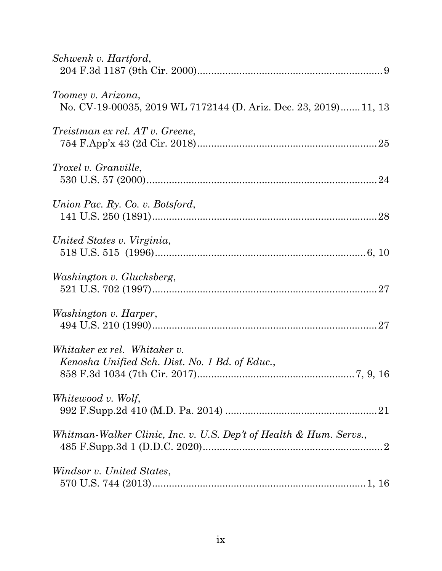| Schwenk v. Hartford,                                                                   |
|----------------------------------------------------------------------------------------|
| Toomey v. Arizona,<br>No. CV-19-00035, 2019 WL 7172144 (D. Ariz. Dec. 23, 2019) 11, 13 |
| Treistman ex rel. AT v. Greene,                                                        |
| Troxel v. Granville,                                                                   |
| Union Pac. Ry. Co. v. Botsford,                                                        |
| United States v. Virginia,                                                             |
| Washington v. Glucksberg,                                                              |
| <i>Washington v. Harper,</i>                                                           |
| Whitaker ex rel. Whitaker v.<br>Kenosha Unified Sch. Dist. No. 1 Bd. of Educ.,         |
| Whitewood v. Wolf,                                                                     |
| Whitman-Walker Clinic, Inc. v. U.S. Dep't of Health & Hum. Servs.,                     |
| Windsor v. United States,                                                              |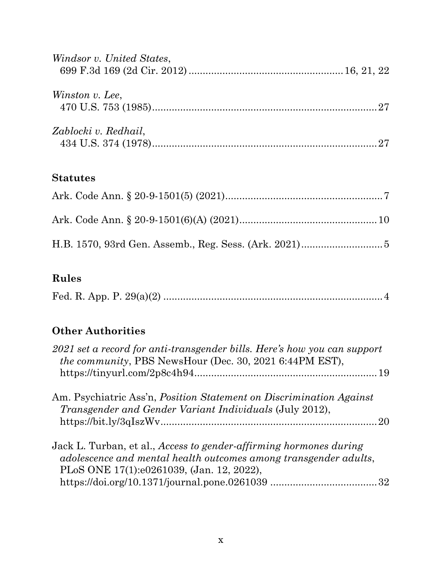| Windsor v. United States, |  |
|---------------------------|--|
| Winston v. Lee,           |  |
| Zablocki v. Redhail,      |  |

## **Statutes**

## **Rules**

|--|--|--|--|

## **Other Authorities**

| 2021 set a record for anti-transgender bills. Here's how you can support<br>the community, PBS NewsHour (Dec. 30, 2021 6:44PM EST),                                                        |  |
|--------------------------------------------------------------------------------------------------------------------------------------------------------------------------------------------|--|
| Am. Psychiatric Ass'n, <i>Position Statement on Discrimination Against</i><br><i>Transgender and Gender Variant Individuals (July 2012),</i>                                               |  |
| Jack L. Turban, et al., <i>Access to gender-affirming hormones during</i><br>adolescence and mental health outcomes among transgender adults,<br>PLoS ONE 17(1):e0261039, (Jan. 12, 2022), |  |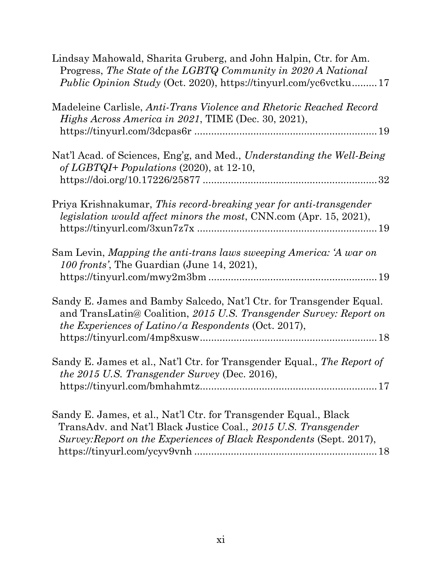| Lindsay Mahowald, Sharita Gruberg, and John Halpin, Ctr. for Am.<br>Progress, The State of the LGBTQ Community in 2020 A National<br>Public Opinion Study (Oct. 2020), https://tinyurl.com/yc6vctku 17     |
|------------------------------------------------------------------------------------------------------------------------------------------------------------------------------------------------------------|
| Madeleine Carlisle, Anti-Trans Violence and Rhetoric Reached Record<br>Highs Across America in 2021, TIME (Dec. 30, 2021),                                                                                 |
| Nat'l Acad. of Sciences, Eng'g, and Med., Understanding the Well-Being<br>of LGBTQI+ Populations $(2020)$ , at 12-10,                                                                                      |
|                                                                                                                                                                                                            |
| Priya Krishnakumar, This record-breaking year for anti-transgender<br><i>legislation would affect minors the most, CNN.com (Apr. 15, 2021),</i>                                                            |
| Sam Levin, Mapping the anti-trans laws sweeping America: 'A war on<br>100 fronts', The Guardian (June 14, 2021),                                                                                           |
| Sandy E. James and Bamby Salcedo, Nat'l Ctr. for Transgender Equal.<br>and TransLatin@ Coalition, 2015 U.S. Transgender Survey: Report on<br>the Experiences of Latino/a Respondents (Oct. 2017),          |
| Sandy E. James et al., Nat'l Ctr. for Transgender Equal., The Report of<br><i>the 2015 U.S. Transgender Survey (Dec. 2016),</i>                                                                            |
| Sandy E. James, et al., Nat'l Ctr. for Transgender Equal., Black<br>TransAdv. and Nat'l Black Justice Coal., 2015 U.S. Transgender<br>Survey: Report on the Experiences of Black Respondents (Sept. 2017), |

https://tinyurl.com/ycyv9vnh .................................................................18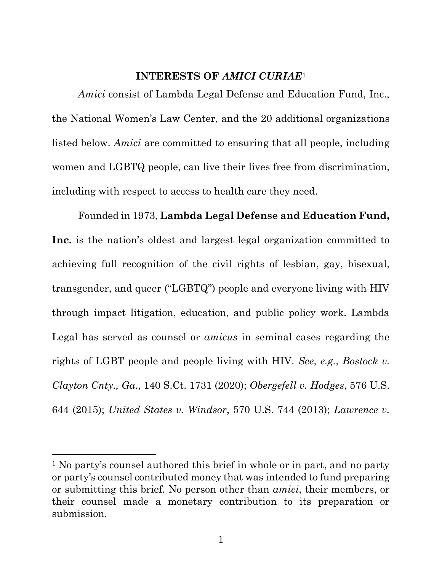## **INTERESTS OF** *AMICI CURIAE*<sup>1</sup>

*Amici* consist of Lambda Legal Defense and Education Fund, Inc., the National Women's Law Center, and the 20 additional organizations listed below. *Amici* are committed to ensuring that all people, including women and LGBTQ people, can live their lives free from discrimination, including with respect to access to health care they need.

Founded in 1973, **Lambda Legal Defense and Education Fund, Inc.** is the nation's oldest and largest legal organization committed to achieving full recognition of the civil rights of lesbian, gay, bisexual, transgender, and queer ("LGBTQ") people and everyone living with HIV through impact litigation, education, and public policy work. Lambda Legal has served as counsel or *amicus* in seminal cases regarding the rights of LGBT people and people living with HIV. *See*, *e.g.*, *Bostock v. Clayton Cnty., Ga.*, 140 S.Ct. 1731 (2020); *Obergefell v. Hodges*, 576 U.S. 644 (2015); *United States v. Windsor*, 570 U.S. 744 (2013); *Lawrence v.* 

<sup>&</sup>lt;sup>1</sup> No party's counsel authored this brief in whole or in part, and no party or party's counsel contributed money that was intended to fund preparing or submitting this brief. No person other than *amici*, their members, or their counsel made a monetary contribution to its preparation or submission.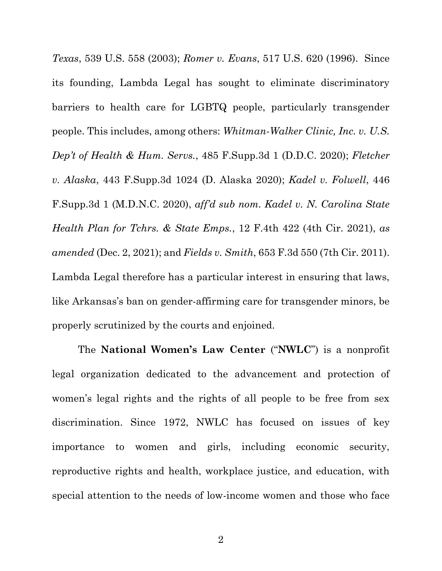*Texas*, 539 U.S. 558 (2003); *Romer v. Evans*, 517 U.S. 620 (1996). Since its founding, Lambda Legal has sought to eliminate discriminatory barriers to health care for LGBTQ people, particularly transgender people. This includes, among others: *Whitman-Walker Clinic, Inc. v. U.S. Dep't of Health & Hum. Servs.*, 485 F.Supp.3d 1 (D.D.C. 2020); *Fletcher v. Alaska*, 443 F.Supp.3d 1024 (D. Alaska 2020); *Kadel v. Folwell*, 446 F.Supp.3d 1 (M.D.N.C. 2020), *aff'd sub nom. Kadel v. N. Carolina State Health Plan for Tchrs. & State Emps.*, 12 F.4th 422 (4th Cir. 2021), *as amended* (Dec. 2, 2021); and *Fields v. Smith*, 653 F.3d 550 (7th Cir. 2011). Lambda Legal therefore has a particular interest in ensuring that laws, like Arkansas's ban on gender-affirming care for transgender minors, be properly scrutinized by the courts and enjoined.

The **National Women's Law Center** ("**NWLC**") is a nonprofit legal organization dedicated to the advancement and protection of women's legal rights and the rights of all people to be free from sex discrimination. Since 1972, NWLC has focused on issues of key importance to women and girls, including economic security, reproductive rights and health, workplace justice, and education, with special attention to the needs of low-income women and those who face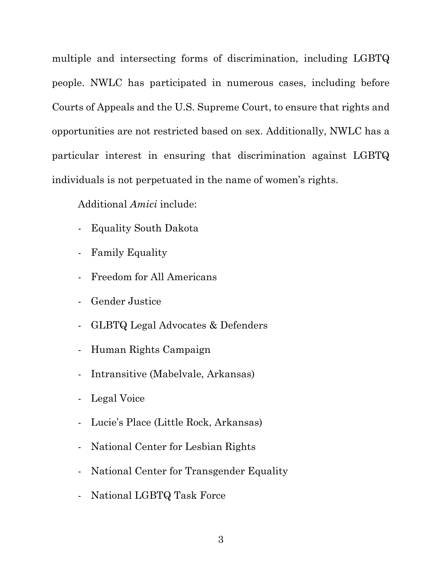multiple and intersecting forms of discrimination, including LGBTQ people. NWLC has participated in numerous cases, including before Courts of Appeals and the U.S. Supreme Court, to ensure that rights and opportunities are not restricted based on sex. Additionally, NWLC has a particular interest in ensuring that discrimination against LGBTQ individuals is not perpetuated in the name of women's rights.

Additional *Amici* include:

- Equality South Dakota
- Family Equality
- Freedom for All Americans
- Gender Justice
- GLBTQ Legal Advocates & Defenders
- Human Rights Campaign
- Intransitive (Mabelvale, Arkansas)
- Legal Voice
- Lucie's Place (Little Rock, Arkansas)
- National Center for Lesbian Rights
- National Center for Transgender Equality
- National LGBTQ Task Force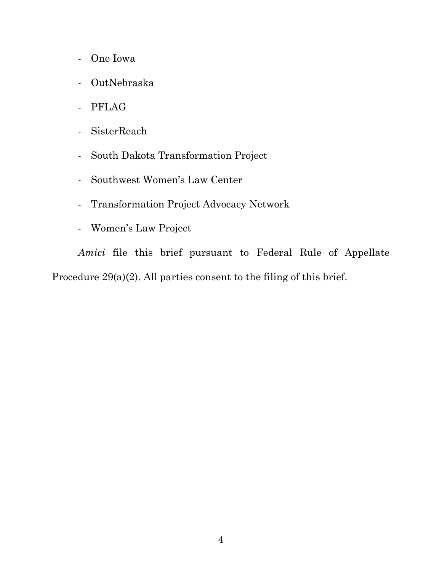- One Iowa
- OutNebraska
- PFLAG
- SisterReach
- South Dakota Transformation Project
- Southwest Women's Law Center
- Transformation Project Advocacy Network
- Women's Law Project

*Amici* file this brief pursuant to Federal Rule of Appellate Procedure 29(a)(2). All parties consent to the filing of this brief.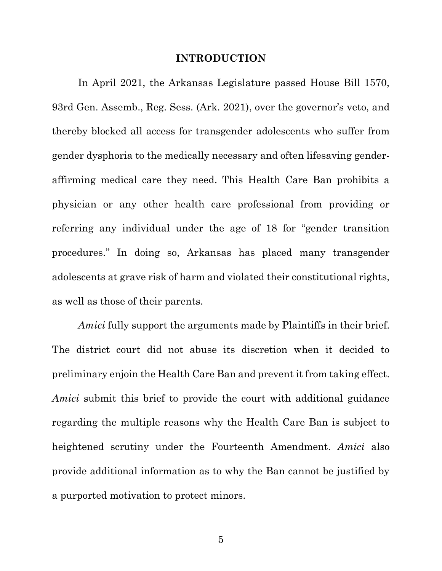#### **INTRODUCTION**

In April 2021, the Arkansas Legislature passed House Bill 1570, 93rd Gen. Assemb., Reg. Sess. (Ark. 2021), over the governor's veto, and thereby blocked all access for transgender adolescents who suffer from gender dysphoria to the medically necessary and often lifesaving genderaffirming medical care they need. This Health Care Ban prohibits a physician or any other health care professional from providing or referring any individual under the age of 18 for "gender transition procedures." In doing so, Arkansas has placed many transgender adolescents at grave risk of harm and violated their constitutional rights, as well as those of their parents.

*Amici* fully support the arguments made by Plaintiffs in their brief. The district court did not abuse its discretion when it decided to preliminary enjoin the Health Care Ban and prevent it from taking effect. *Amici* submit this brief to provide the court with additional guidance regarding the multiple reasons why the Health Care Ban is subject to heightened scrutiny under the Fourteenth Amendment. *Amici* also provide additional information as to why the Ban cannot be justified by a purported motivation to protect minors.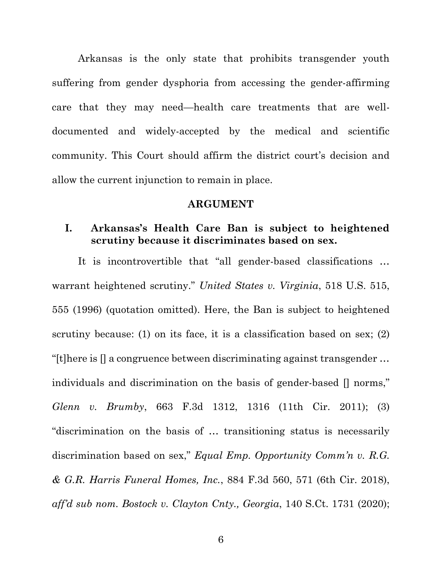Arkansas is the only state that prohibits transgender youth suffering from gender dysphoria from accessing the gender-affirming care that they may need—health care treatments that are welldocumented and widely-accepted by the medical and scientific community. This Court should affirm the district court's decision and allow the current injunction to remain in place.

#### **ARGUMENT**

## **I. Arkansas's Health Care Ban is subject to heightened scrutiny because it discriminates based on sex.**

It is incontrovertible that "all gender-based classifications … warrant heightened scrutiny." *United States v. Virginia*, 518 U.S. 515, 555 (1996) (quotation omitted). Here, the Ban is subject to heightened scrutiny because: (1) on its face, it is a classification based on sex; (2) "[t]here is [] a congruence between discriminating against transgender … individuals and discrimination on the basis of gender-based [] norms," *Glenn v. Brumby*, 663 F.3d 1312, 1316 (11th Cir. 2011); (3) "discrimination on the basis of … transitioning status is necessarily discrimination based on sex," *Equal Emp. Opportunity Comm'n v. R.G. & G.R. Harris Funeral Homes, Inc.*, 884 F.3d 560, 571 (6th Cir. 2018), *aff'd sub nom. Bostock v. Clayton Cnty., Georgia*, 140 S.Ct. 1731 (2020);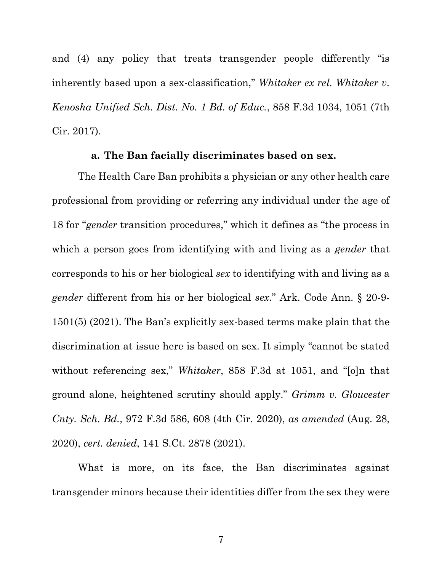and (4) any policy that treats transgender people differently "is inherently based upon a sex-classification," *Whitaker ex rel. Whitaker v. Kenosha Unified Sch. Dist. No. 1 Bd. of Educ.*, 858 F.3d 1034, 1051 (7th Cir. 2017).

#### **a. The Ban facially discriminates based on sex.**

The Health Care Ban prohibits a physician or any other health care professional from providing or referring any individual under the age of 18 for "*gender* transition procedures," which it defines as "the process in which a person goes from identifying with and living as a *gender* that corresponds to his or her biological *sex* to identifying with and living as a *gender* different from his or her biological *sex*." Ark. Code Ann. § 20-9- 1501(5) (2021). The Ban's explicitly sex-based terms make plain that the discrimination at issue here is based on sex. It simply "cannot be stated without referencing sex," *Whitaker*, 858 F.3d at 1051, and "[o]n that ground alone, heightened scrutiny should apply." *Grimm v. Gloucester Cnty. Sch. Bd.*, 972 F.3d 586, 608 (4th Cir. 2020), *as amended* (Aug. 28, 2020), *cert. denied*, 141 S.Ct. 2878 (2021).

What is more, on its face, the Ban discriminates against transgender minors because their identities differ from the sex they were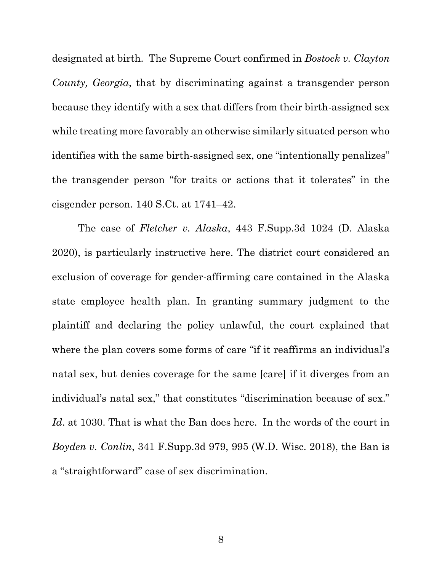designated at birth. The Supreme Court confirmed in *Bostock v. Clayton County, Georgia*, that by discriminating against a transgender person because they identify with a sex that differs from their birth-assigned sex while treating more favorably an otherwise similarly situated person who identifies with the same birth-assigned sex, one "intentionally penalizes" the transgender person "for traits or actions that it tolerates" in the cisgender person. 140 S.Ct. at 1741–42.

The case of *Fletcher v. Alaska*, 443 F.Supp.3d 1024 (D. Alaska 2020), is particularly instructive here. The district court considered an exclusion of coverage for gender-affirming care contained in the Alaska state employee health plan. In granting summary judgment to the plaintiff and declaring the policy unlawful, the court explained that where the plan covers some forms of care "if it reaffirms an individual's natal sex, but denies coverage for the same [care] if it diverges from an individual's natal sex," that constitutes "discrimination because of sex." *Id*. at 1030. That is what the Ban does here. In the words of the court in *Boyden v. Conlin*, 341 F.Supp.3d 979, 995 (W.D. Wisc. 2018), the Ban is a "straightforward" case of sex discrimination.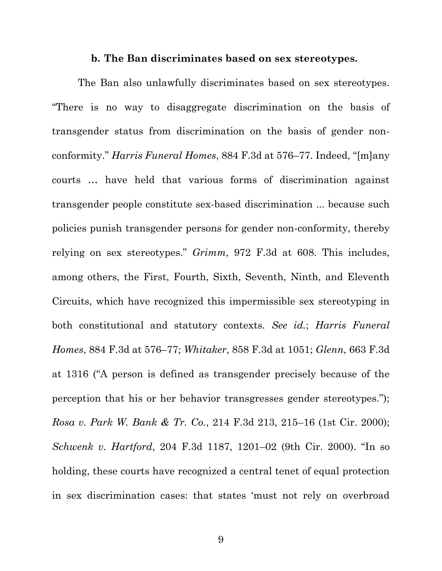#### **b. The Ban discriminates based on sex stereotypes.**

The Ban also unlawfully discriminates based on sex stereotypes. "There is no way to disaggregate discrimination on the basis of transgender status from discrimination on the basis of gender nonconformity." *Harris Funeral Homes*, 884 F.3d at 576–77. Indeed, "[m]any courts … have held that various forms of discrimination against transgender people constitute sex-based discrimination ... because such policies punish transgender persons for gender non-conformity, thereby relying on sex stereotypes." *Grimm*, 972 F.3d at 608. This includes, among others, the First, Fourth, Sixth, Seventh, Ninth, and Eleventh Circuits, which have recognized this impermissible sex stereotyping in both constitutional and statutory contexts. *See id.*; *Harris Funeral Homes*, 884 F.3d at 576–77; *Whitaker*, 858 F.3d at 1051; *Glenn*, 663 F.3d at 1316 ("A person is defined as transgender precisely because of the perception that his or her behavior transgresses gender stereotypes."); *Rosa v. Park W. Bank & Tr. Co.*, 214 F.3d 213, 215–16 (1st Cir. 2000); *Schwenk v. Hartford*, 204 F.3d 1187, 1201–02 (9th Cir. 2000). "In so holding, these courts have recognized a central tenet of equal protection in sex discrimination cases: that states 'must not rely on overbroad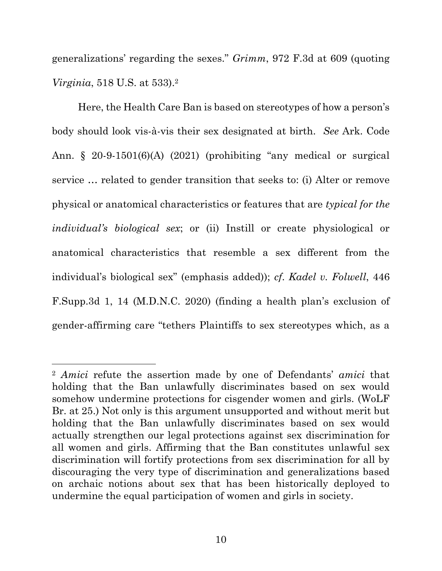generalizations' regarding the sexes." *Grimm*, 972 F.3d at 609 (quoting *Virginia*, 518 U.S. at 533). 2

Here, the Health Care Ban is based on stereotypes of how a person's body should look vis-à-vis their sex designated at birth. *See* Ark. Code Ann. § 20-9-1501(6)(A) (2021) (prohibiting "any medical or surgical service … related to gender transition that seeks to: (i) Alter or remove physical or anatomical characteristics or features that are *typical for the individual's biological sex*; or (ii) Instill or create physiological or anatomical characteristics that resemble a sex different from the individual's biological sex" (emphasis added)); *cf*. *Kadel v. Folwell*, 446 F.Supp.3d 1, 14 (M.D.N.C. 2020) (finding a health plan's exclusion of gender-affirming care "tethers Plaintiffs to sex stereotypes which, as a

<sup>2</sup> *Amici* refute the assertion made by one of Defendants' *amici* that holding that the Ban unlawfully discriminates based on sex would somehow undermine protections for cisgender women and girls. (WoLF Br. at 25.) Not only is this argument unsupported and without merit but holding that the Ban unlawfully discriminates based on sex would actually strengthen our legal protections against sex discrimination for all women and girls. Affirming that the Ban constitutes unlawful sex discrimination will fortify protections from sex discrimination for all by discouraging the very type of discrimination and generalizations based on archaic notions about sex that has been historically deployed to undermine the equal participation of women and girls in society.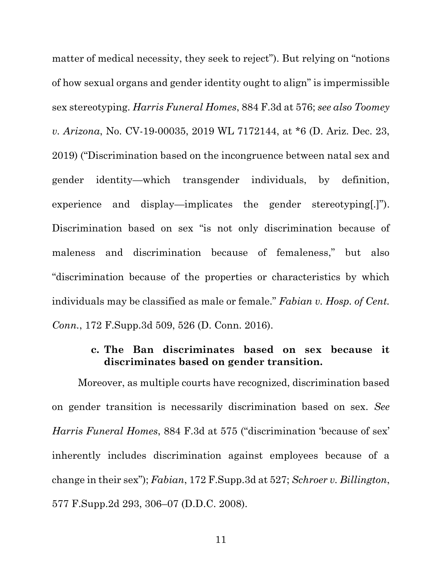matter of medical necessity, they seek to reject"). But relying on "notions of how sexual organs and gender identity ought to align" is impermissible sex stereotyping. *Harris Funeral Homes*, 884 F.3d at 576; *see also Toomey v. Arizona*, No. CV-19-00035, 2019 WL 7172144, at \*6 (D. Ariz. Dec. 23, 2019) ("Discrimination based on the incongruence between natal sex and gender identity—which transgender individuals, by definition, experience and display—implicates the gender stereotyping[.]"). Discrimination based on sex "is not only discrimination because of maleness and discrimination because of femaleness," but also "discrimination because of the properties or characteristics by which individuals may be classified as male or female." *Fabian v. Hosp. of Cent. Conn.*, 172 F.Supp.3d 509, 526 (D. Conn. 2016).

## **c. The Ban discriminates based on sex because it discriminates based on gender transition.**

Moreover, as multiple courts have recognized, discrimination based on gender transition is necessarily discrimination based on sex. *See Harris Funeral Homes*, 884 F.3d at 575 ("discrimination 'because of sex' inherently includes discrimination against employees because of a change in their sex"); *Fabian*, 172 F.Supp.3d at 527; *Schroer v. Billington*, 577 F.Supp.2d 293, 306–07 (D.D.C. 2008).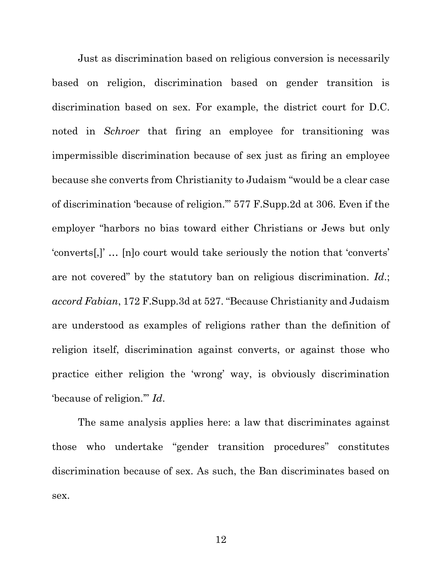Just as discrimination based on religious conversion is necessarily based on religion, discrimination based on gender transition is discrimination based on sex. For example, the district court for D.C. noted in *Schroer* that firing an employee for transitioning was impermissible discrimination because of sex just as firing an employee because she converts from Christianity to Judaism "would be a clear case of discrimination 'because of religion.'" 577 F.Supp.2d at 306. Even if the employer "harbors no bias toward either Christians or Jews but only 'converts[,]' … [n]o court would take seriously the notion that 'converts' are not covered" by the statutory ban on religious discrimination. *Id*.; *accord Fabian*, 172 F.Supp.3d at 527. "Because Christianity and Judaism are understood as examples of religions rather than the definition of religion itself, discrimination against converts, or against those who practice either religion the 'wrong' way, is obviously discrimination 'because of religion.'" *Id*.

The same analysis applies here: a law that discriminates against those who undertake "gender transition procedures" constitutes discrimination because of sex. As such, the Ban discriminates based on sex.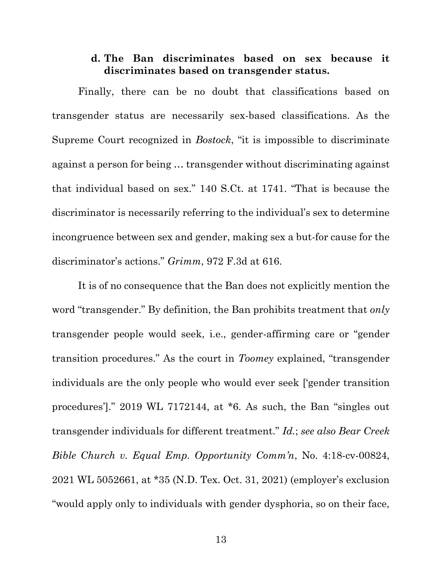## **d. The Ban discriminates based on sex because it discriminates based on transgender status.**

Finally, there can be no doubt that classifications based on transgender status are necessarily sex-based classifications. As the Supreme Court recognized in *Bostock*, "it is impossible to discriminate against a person for being … transgender without discriminating against that individual based on sex." 140 S.Ct. at 1741. "That is because the discriminator is necessarily referring to the individual's sex to determine incongruence between sex and gender, making sex a but-for cause for the discriminator's actions." *Grimm*, 972 F.3d at 616.

It is of no consequence that the Ban does not explicitly mention the word "transgender." By definition, the Ban prohibits treatment that *only* transgender people would seek, i.e., gender-affirming care or "gender transition procedures." As the court in *Toomey* explained, "transgender individuals are the only people who would ever seek ['gender transition procedures']." 2019 WL 7172144, at \*6. As such, the Ban "singles out transgender individuals for different treatment." *Id.*; *see also Bear Creek Bible Church v. Equal Emp. Opportunity Comm'n*, No. 4:18-cv-00824, 2021 WL 5052661, at \*35 (N.D. Tex. Oct. 31, 2021) (employer's exclusion "would apply only to individuals with gender dysphoria, so on their face,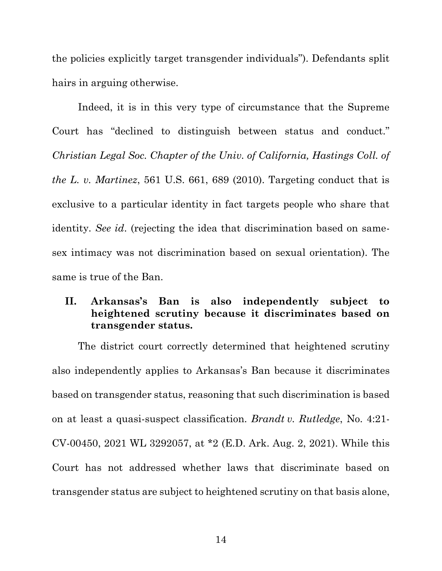the policies explicitly target transgender individuals"). Defendants split hairs in arguing otherwise.

Indeed, it is in this very type of circumstance that the Supreme Court has "declined to distinguish between status and conduct." *Christian Legal Soc. Chapter of the Univ. of California, Hastings Coll. of the L. v. Martinez*, 561 U.S. 661, 689 (2010). Targeting conduct that is exclusive to a particular identity in fact targets people who share that identity. *See id*. (rejecting the idea that discrimination based on samesex intimacy was not discrimination based on sexual orientation). The same is true of the Ban.

## **II. Arkansas's Ban is also independently subject to heightened scrutiny because it discriminates based on transgender status.**

The district court correctly determined that heightened scrutiny also independently applies to Arkansas's Ban because it discriminates based on transgender status, reasoning that such discrimination is based on at least a quasi-suspect classification. *Brandt v. Rutledge*, No. 4:21- CV-00450, 2021 WL 3292057, at \*2 (E.D. Ark. Aug. 2, 2021). While this Court has not addressed whether laws that discriminate based on transgender status are subject to heightened scrutiny on that basis alone,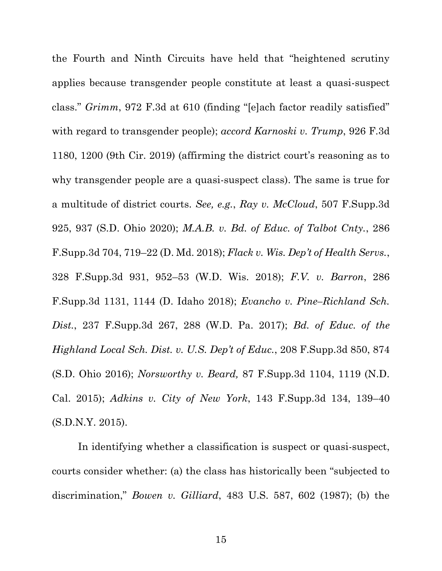the Fourth and Ninth Circuits have held that "heightened scrutiny applies because transgender people constitute at least a quasi-suspect class." *Grimm*, 972 F.3d at 610 (finding "[e]ach factor readily satisfied" with regard to transgender people); *accord Karnoski v. Trump*, 926 F.3d 1180, 1200 (9th Cir. 2019) (affirming the district court's reasoning as to why transgender people are a quasi-suspect class). The same is true for a multitude of district courts. *See, e.g.*, *Ray v. McCloud*, 507 F.Supp.3d 925, 937 (S.D. Ohio 2020); *M.A.B. v. Bd. of Educ. of Talbot Cnty.*, 286 F.Supp.3d 704, 719–22 (D. Md. 2018); *Flack v. Wis. Dep't of Health Servs.*, 328 F.Supp.3d 931, 952–53 (W.D. Wis. 2018); *F.V. v. Barron*, 286 F.Supp.3d 1131, 1144 (D. Idaho 2018); *Evancho v. Pine–Richland Sch. Dist.*, 237 F.Supp.3d 267, 288 (W.D. Pa. 2017); *Bd. of Educ. of the Highland Local Sch. Dist. v. U.S. Dep't of Educ.*, 208 F.Supp.3d 850, 874 (S.D. Ohio 2016); *Norsworthy v. Beard,* 87 F.Supp.3d 1104, 1119 (N.D. Cal. 2015); *Adkins v. City of New York*, 143 F.Supp.3d 134, 139–40 (S.D.N.Y. 2015).

In identifying whether a classification is suspect or quasi-suspect, courts consider whether: (a) the class has historically been "subjected to discrimination," *Bowen v. Gilliard*, 483 U.S. 587, 602 (1987); (b) the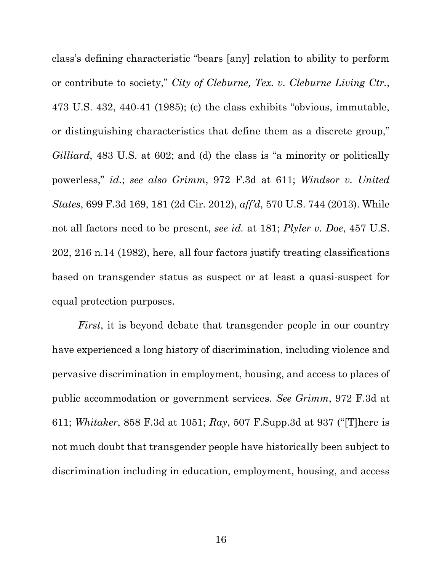class's defining characteristic "bears [any] relation to ability to perform or contribute to society," *City of Cleburne, Tex. v. Cleburne Living Ctr.*, 473 U.S. 432, 440-41 (1985); (c) the class exhibits "obvious, immutable, or distinguishing characteristics that define them as a discrete group," *Gilliard*, 483 U.S. at 602; and (d) the class is "a minority or politically powerless," *id.*; *see also Grimm*, 972 F.3d at 611; *Windsor v. United States*, 699 F.3d 169, 181 (2d Cir. 2012), *aff'd*, 570 U.S. 744 (2013). While not all factors need to be present, *see id.* at 181; *Plyler v. Doe*, 457 U.S. 202, 216 n.14 (1982), here, all four factors justify treating classifications based on transgender status as suspect or at least a quasi-suspect for equal protection purposes.

*First*, it is beyond debate that transgender people in our country have experienced a long history of discrimination, including violence and pervasive discrimination in employment, housing, and access to places of public accommodation or government services. *See Grimm*, 972 F.3d at 611; *Whitaker*, 858 F.3d at 1051; *Ray*, 507 F.Supp.3d at 937 ("[T]here is not much doubt that transgender people have historically been subject to discrimination including in education, employment, housing, and access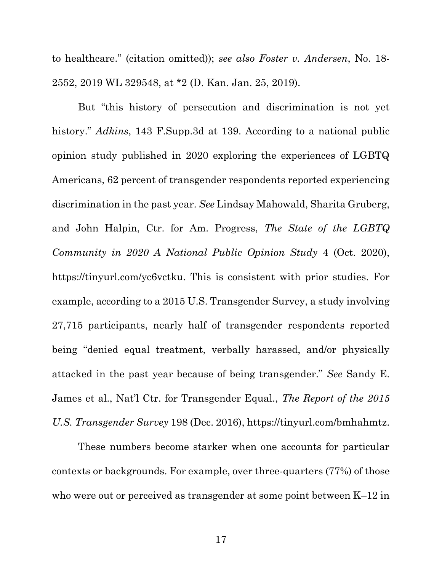to healthcare." (citation omitted)); *see also Foster v. Andersen*, No. 18- 2552, 2019 WL 329548, at \*2 (D. Kan. Jan. 25, 2019).

But "this history of persecution and discrimination is not yet history." *Adkins*, 143 F.Supp.3d at 139. According to a national public opinion study published in 2020 exploring the experiences of LGBTQ Americans, 62 percent of transgender respondents reported experiencing discrimination in the past year. *See* Lindsay Mahowald, Sharita Gruberg, and John Halpin, Ctr. for Am. Progress, *The State of the LGBTQ Community in 2020 A National Public Opinion Study* 4 (Oct. 2020), [https://tinyurl.com/yc6vctku.](https://tinyurl.com/yc6vctku) This is consistent with prior studies. For example, according to a 2015 U.S. Transgender Survey, a study involving 27,715 participants, nearly half of transgender respondents reported being "denied equal treatment, verbally harassed, and/or physically attacked in the past year because of being transgender." *See* Sandy E. James et al., Nat'l Ctr. for Transgender Equal., *The Report of the 2015 U.S. Transgender Survey* 198 (Dec. 2016), [https://tinyurl.com/bmhahmtz.](https://tinyurl.com/bmhahmtz)

These numbers become starker when one accounts for particular contexts or backgrounds. For example, over three-quarters (77%) of those who were out or perceived as transgender at some point between K–12 in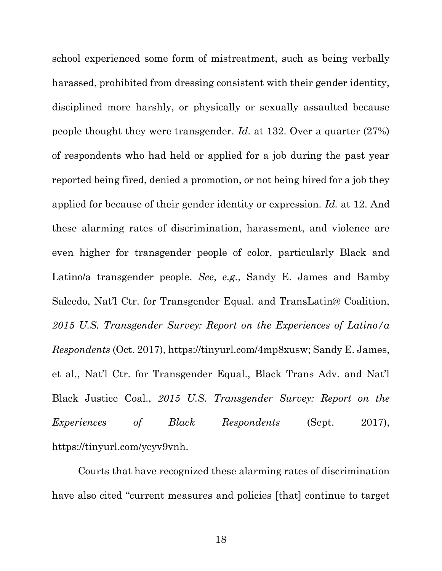school experienced some form of mistreatment, such as being verbally harassed, prohibited from dressing consistent with their gender identity, disciplined more harshly, or physically or sexually assaulted because people thought they were transgender. *Id.* at 132. Over a quarter (27%) of respondents who had held or applied for a job during the past year reported being fired, denied a promotion, or not being hired for a job they applied for because of their gender identity or expression. *Id.* at 12. And these alarming rates of discrimination, harassment, and violence are even higher for transgender people of color, particularly Black and Latino/a transgender people. *See*, *e.g.*, Sandy E. James and Bamby Salcedo, Nat'l Ctr. for Transgender Equal. and TransLatin@ Coalition, *2015 U.S. Transgender Survey: Report on the Experiences of Latino/a Respondents* (Oct. 2017), [https://tinyurl.com/4mp8xusw;](https://tinyurl.com/4mp8xusw) Sandy E. James, et al., Nat'l Ctr. for Transgender Equal., Black Trans Adv. and Nat'l Black Justice Coal., *2015 U.S. Transgender Survey: Report on the Experiences of Black Respondents* (Sept. 2017), [https://tinyurl.com/ycyv9vnh.](https://tinyurl.com/ycyv9vnh)

Courts that have recognized these alarming rates of discrimination have also cited "current measures and policies [that] continue to target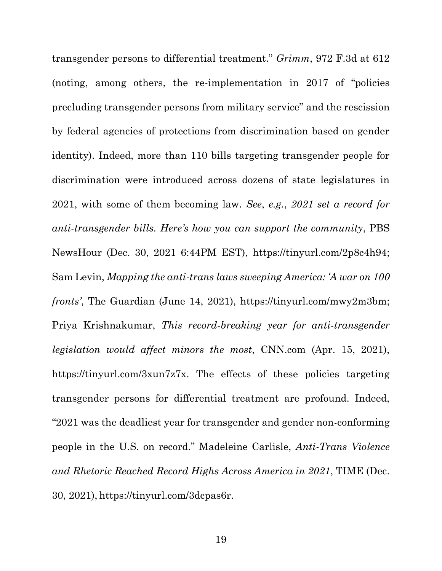transgender persons to differential treatment." *Grimm*, 972 F.3d at 612 (noting, among others, the re-implementation in 2017 of "policies precluding transgender persons from military service" and the rescission by federal agencies of protections from discrimination based on gender identity). Indeed, more than 110 bills targeting transgender people for discrimination were introduced across dozens of state legislatures in 2021, with some of them becoming law. *See*, *e.g.*, *2021 set a record for anti-transgender bills. Here's how you can support the community*, PBS NewsHour (Dec. 30, 2021 6:44PM EST), [https://tinyurl.com/2p8c4h94;](https://tinyurl.com/2p8c4h94) Sam Levin, *Mapping the anti-trans laws sweeping America: 'A war on 100 fronts'*, The Guardian (June 14, 2021), [https://tinyurl.com/mwy2m3bm;](https://tinyurl.com/mwy2m3bm) Priya Krishnakumar, *This record-breaking year for anti-transgender legislation would affect minors the most*, CNN.com (Apr. 15, 2021), [https://tinyurl.com/3xun7z7x.](https://tinyurl.com/3xun7z7x) The effects of these policies targeting transgender persons for differential treatment are profound. Indeed, "2021 was the deadliest year for transgender and gender non-conforming people in the U.S. on record." Madeleine Carlisle, *Anti-Trans Violence and Rhetoric Reached Record Highs Across America in 2021*, TIME (Dec. 30, 2021), [https://tinyurl.com/3dcpas6r.](https://tinyurl.com/3dcpas6r)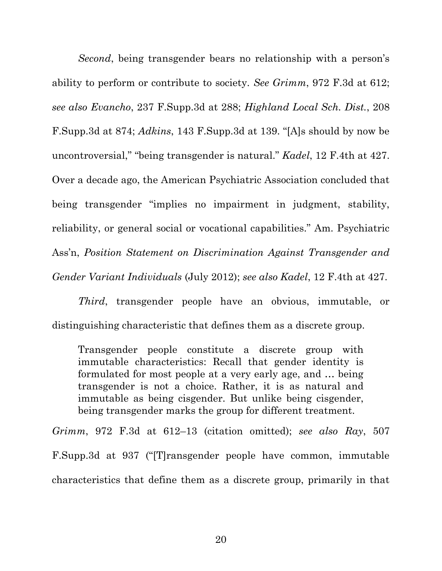*Second*, being transgender bears no relationship with a person's ability to perform or contribute to society. *See Grimm*, 972 F.3d at 612; *see also Evancho*, 237 F.Supp.3d at 288; *Highland Local Sch. Dist.*, 208 F.Supp.3d at 874; *Adkins*, 143 F.Supp.3d at 139. "[A]s should by now be uncontroversial," "being transgender is natural." *Kadel*, 12 F.4th at 427. Over a decade ago, the American Psychiatric Association concluded that being transgender "implies no impairment in judgment, stability, reliability, or general social or vocational capabilities." Am. Psychiatric Ass'n, *Position Statement on Discrimination Against Transgender and Gender Variant Individuals* (July 2012); *see also Kadel*, 12 F.4th at 427.

*Third*, transgender people have an obvious, immutable, or distinguishing characteristic that defines them as a discrete group.

Transgender people constitute a discrete group with immutable characteristics: Recall that gender identity is formulated for most people at a very early age, and … being transgender is not a choice. Rather, it is as natural and immutable as being cisgender. But unlike being cisgender, being transgender marks the group for different treatment.

*Grimm*, 972 F.3d at 612–13 (citation omitted); *see also Ray*, 507 F.Supp.3d at 937 ("[T]ransgender people have common, immutable characteristics that define them as a discrete group, primarily in that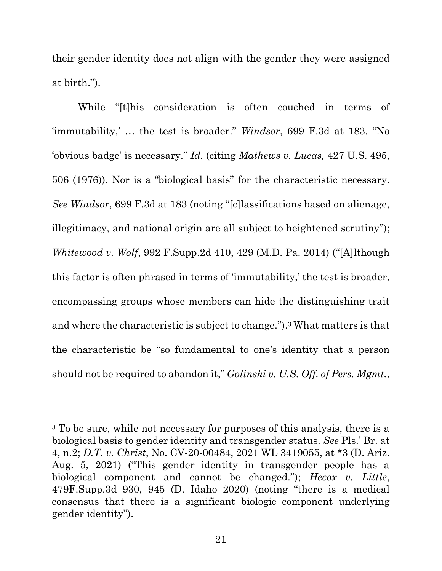their gender identity does not align with the gender they were assigned at birth.").

While "[t]his consideration is often couched in terms of 'immutability,' … the test is broader." *Windsor*, 699 F.3d at 183. "No 'obvious badge' is necessary." *Id.* (citing *Mathews v. Lucas,* 427 U.S. 495, 506 (1976)). Nor is a "biological basis" for the characteristic necessary. *See Windsor*, 699 F.3d at 183 (noting "[c]lassifications based on alienage, illegitimacy, and national origin are all subject to heightened scrutiny"); *Whitewood v. Wolf*, 992 F.Supp.2d 410, 429 (M.D. Pa. 2014) ("[A]lthough this factor is often phrased in terms of 'immutability,' the test is broader, encompassing groups whose members can hide the distinguishing trait and where the characteristic is subject to change."). <sup>3</sup> What matters is that the characteristic be "so fundamental to one's identity that a person should not be required to abandon it," *Golinski v. U.S. Off. of Pers. Mgmt.*,

<sup>3</sup> To be sure, while not necessary for purposes of this analysis, there is a biological basis to gender identity and transgender status. *See* Pls.' Br. at 4, n.2; *D.T. v. Christ*, No. CV-20-00484, 2021 WL 3419055, at \*3 (D. Ariz. Aug. 5, 2021) ("This gender identity in transgender people has a biological component and cannot be changed."); *Hecox v. Little*, 479F.Supp.3d 930, 945 (D. Idaho 2020) (noting "there is a medical consensus that there is a significant biologic component underlying gender identity").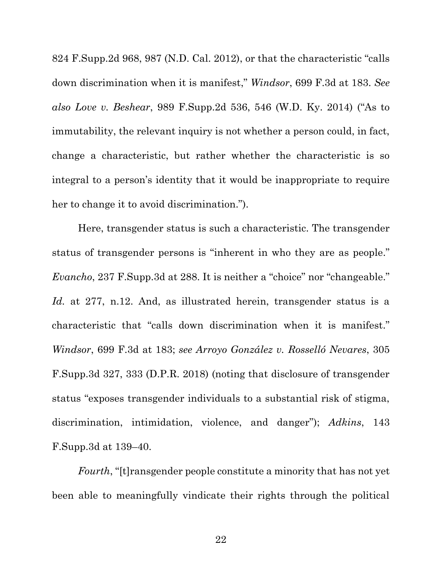824 F.Supp.2d 968, 987 (N.D. Cal. 2012), or that the characteristic "calls down discrimination when it is manifest," *Windsor*, 699 F.3d at 183. *See also Love v. Beshear*, 989 F.Supp.2d 536, 546 (W.D. Ky. 2014) ("As to immutability, the relevant inquiry is not whether a person could, in fact, change a characteristic, but rather whether the characteristic is so integral to a person's identity that it would be inappropriate to require her to change it to avoid discrimination.").

Here, transgender status is such a characteristic. The transgender status of transgender persons is "inherent in who they are as people." *Evancho*, 237 F.Supp.3d at 288. It is neither a "choice" nor "changeable." *Id.* at 277, n.12. And, as illustrated herein, transgender status is a characteristic that "calls down discrimination when it is manifest." *Windsor*, 699 F.3d at 183; *see Arroyo González v. Rosselló Nevares*, 305 F.Supp.3d 327, 333 (D.P.R. 2018) (noting that disclosure of transgender status "exposes transgender individuals to a substantial risk of stigma, discrimination, intimidation, violence, and danger"); *Adkins*, 143 F.Supp.3d at 139–40.

*Fourth*, "[t]ransgender people constitute a minority that has not yet been able to meaningfully vindicate their rights through the political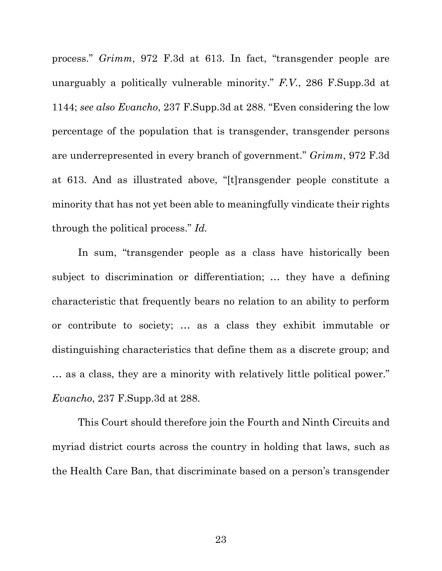process." *Grimm*, 972 F.3d at 613. In fact, "transgender people are unarguably a politically vulnerable minority." *F.V.*, 286 F.Supp.3d at 1144; *see also Evancho*, 237 F.Supp.3d at 288. "Even considering the low percentage of the population that is transgender, transgender persons are underrepresented in every branch of government." *Grimm*, 972 F.3d at 613. And as illustrated above, "[t]ransgender people constitute a minority that has not yet been able to meaningfully vindicate their rights through the political process." *Id.* 

In sum, "transgender people as a class have historically been subject to discrimination or differentiation; … they have a defining characteristic that frequently bears no relation to an ability to perform or contribute to society; … as a class they exhibit immutable or distinguishing characteristics that define them as a discrete group; and … as a class, they are a minority with relatively little political power." *Evancho*, 237 F.Supp.3d at 288.

This Court should therefore join the Fourth and Ninth Circuits and myriad district courts across the country in holding that laws, such as the Health Care Ban, that discriminate based on a person's transgender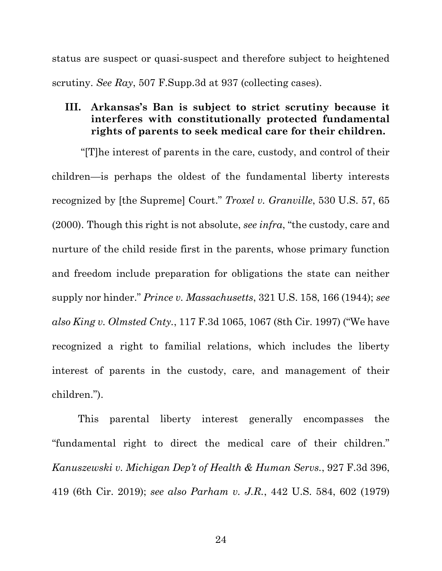status are suspect or quasi-suspect and therefore subject to heightened scrutiny. *See Ray*, 507 F.Supp.3d at 937 (collecting cases).

## **III. Arkansas's Ban is subject to strict scrutiny because it interferes with constitutionally protected fundamental rights of parents to seek medical care for their children.**

"[T]he interest of parents in the care, custody, and control of their children—is perhaps the oldest of the fundamental liberty interests recognized by [the Supreme] Court." *Troxel v. Granville*, 530 U.S. 57, 65 (2000). Though this right is not absolute, *see infra*, "the custody, care and nurture of the child reside first in the parents, whose primary function and freedom include preparation for obligations the state can neither supply nor hinder." *Prince v. Massachusetts*, 321 U.S. 158, 166 (1944); *see also King v. Olmsted Cnty.*, 117 F.3d 1065, 1067 (8th Cir. 1997) ("We have recognized a right to familial relations, which includes the liberty interest of parents in the custody, care, and management of their children.").

This parental liberty interest generally encompasses the "fundamental right to direct the medical care of their children." *Kanuszewski v. Michigan Dep't of Health & Human Servs.*, 927 F.3d 396, 419 (6th Cir. 2019); *see also Parham v. J.R.*, 442 U.S. 584, 602 (1979)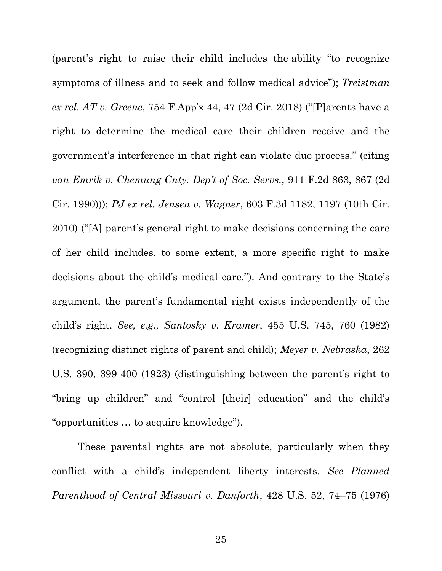(parent's right to raise their child includes the ability "to recognize symptoms of illness and to seek and follow medical advice"); *Treistman ex rel. AT v. Greene*, 754 F.App'x 44, 47 (2d Cir. 2018) ("[P]arents have a right to determine the medical care their children receive and the government's interference in that right can violate due process." (citing *van Emrik v. Chemung Cnty. Dep't of Soc. Servs.*, 911 F.2d 863, 867 (2d Cir. 1990))); *PJ ex rel. Jensen v. Wagner*, 603 F.3d 1182, 1197 (10th Cir. 2010) ("[A] parent's general right to make decisions concerning the care of her child includes, to some extent, a more specific right to make decisions about the child's medical care."). And contrary to the State's argument, the parent's fundamental right exists independently of the child's right. *See, e.g., Santosky v. Kramer*, 455 U.S. 745, 760 (1982) (recognizing distinct rights of parent and child); *Meyer v. Nebraska*, 262 U.S. 390, 399-400 (1923) (distinguishing between the parent's right to "bring up children" and "control [their] education" and the child's "opportunities … to acquire knowledge").

These parental rights are not absolute, particularly when they conflict with a child's independent liberty interests. *See Planned Parenthood of Central Missouri v. Danforth*, 428 U.S. 52, 74–75 (1976)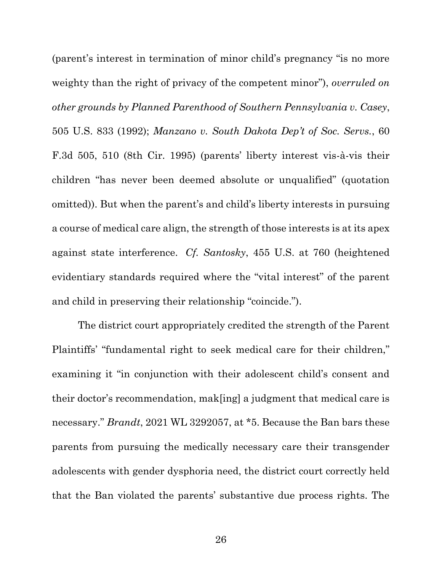(parent's interest in termination of minor child's pregnancy "is no more weighty than the right of privacy of the competent minor"), *overruled on other grounds by Planned Parenthood of Southern Pennsylvania v. Casey*, 505 U.S. 833 (1992); *Manzano v. South Dakota Dep't of Soc. Servs.*, 60 F.3d 505, 510 (8th Cir. 1995) (parents' liberty interest vis-à-vis their children "has never been deemed absolute or unqualified" (quotation omitted)). But when the parent's and child's liberty interests in pursuing a course of medical care align, the strength of those interests is at its apex against state interference. *Cf. Santosky*, 455 U.S. at 760 (heightened evidentiary standards required where the "vital interest" of the parent and child in preserving their relationship "coincide.").

The district court appropriately credited the strength of the Parent Plaintiffs' "fundamental right to seek medical care for their children," examining it "in conjunction with their adolescent child's consent and their doctor's recommendation, mak[ing] a judgment that medical care is necessary." *Brandt*, 2021 WL 3292057, at \*5. Because the Ban bars these parents from pursuing the medically necessary care their transgender adolescents with gender dysphoria need, the district court correctly held that the Ban violated the parents' substantive due process rights. The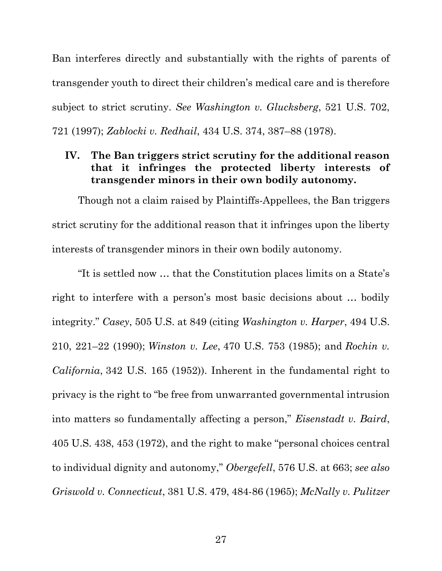Ban interferes directly and substantially with the rights of parents of transgender youth to direct their children's medical care and is therefore subject to strict scrutiny. *See Washington v. Glucksberg*, 521 U.S. 702, 721 (1997); *Zablocki v. Redhail*, 434 U.S. 374, 387–88 (1978).

## **IV. The Ban triggers strict scrutiny for the additional reason that it infringes the protected liberty interests of transgender minors in their own bodily autonomy.**

Though not a claim raised by Plaintiffs-Appellees, the Ban triggers strict scrutiny for the additional reason that it infringes upon the liberty interests of transgender minors in their own bodily autonomy.

"It is settled now … that the Constitution places limits on a State's right to interfere with a person's most basic decisions about … bodily integrity." *Casey*, 505 U.S. at 849 (citing *Washington v. Harper*, 494 U.S. 210, 221–22 (1990); *Winston v. Lee*, 470 U.S. 753 (1985); and *Rochin v. California*, 342 U.S. 165 (1952)). Inherent in the fundamental right to privacy is the right to "be free from unwarranted governmental intrusion into matters so fundamentally affecting a person," *Eisenstadt v. Baird*, 405 U.S. 438, 453 (1972), and the right to make "personal choices central to individual dignity and autonomy," *Obergefell*, 576 U.S. at 663; *see also Griswold v. Connecticut*, 381 U.S. 479, 484-86 (1965); *McNally v. Pulitzer*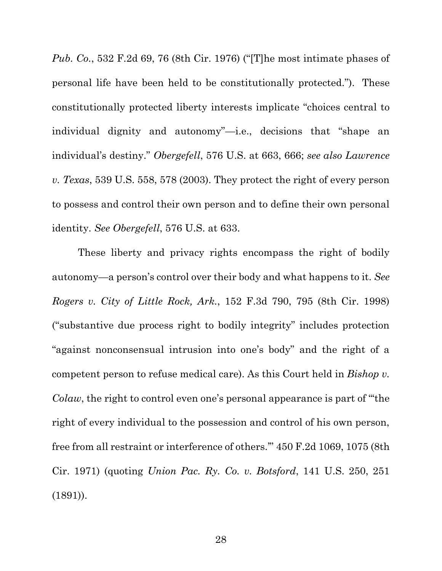*Pub. Co.*, 532 F.2d 69, 76 (8th Cir. 1976) ("[T]he most intimate phases of personal life have been held to be constitutionally protected."). These constitutionally protected liberty interests implicate "choices central to individual dignity and autonomy"—i.e., decisions that "shape an individual's destiny." *Obergefell*, 576 U.S. at 663, 666; *see also Lawrence v. Texas*, 539 U.S. 558, 578 (2003). They protect the right of every person to possess and control their own person and to define their own personal identity. *See Obergefell*, 576 U.S. at 633.

These liberty and privacy rights encompass the right of bodily autonomy—a person's control over their body and what happens to it. *See Rogers v. City of Little Rock, Ark.*, 152 F.3d 790, 795 (8th Cir. 1998) ("substantive due process right to bodily integrity" includes protection "against nonconsensual intrusion into one's body" and the right of a competent person to refuse medical care). As this Court held in *Bishop v. Colaw*, the right to control even one's personal appearance is part of "'the right of every individual to the possession and control of his own person, free from all restraint or interference of others.'" 450 F.2d 1069, 1075 (8th Cir. 1971) (quoting *Union Pac. Ry. Co. v. Botsford*, 141 U.S. 250, 251 (1891)).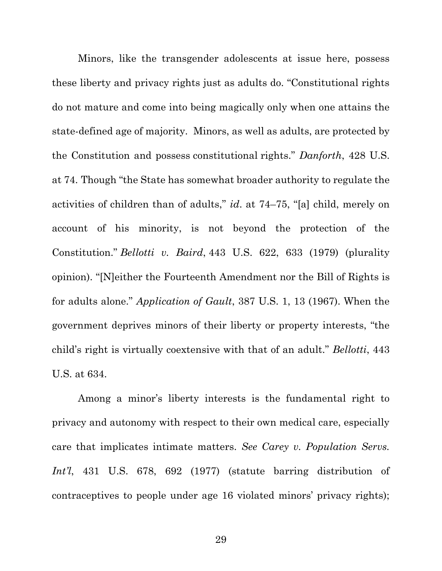Minors, like the transgender adolescents at issue here, possess these liberty and privacy rights just as adults do. "Constitutional rights do not mature and come into being magically only when one attains the state-defined age of majority. Minors, as well as adults, are protected by the Constitution and possess constitutional rights." *Danforth*, 428 U.S. at 74. Though "the State has somewhat broader authority to regulate the activities of children than of adults," *id*. at 74–75, "[a] child, merely on account of his minority, is not beyond the protection of the Constitution." *Bellotti v. Baird*, 443 U.S. 622, 633 (1979) (plurality opinion). "[N]either the Fourteenth Amendment nor the Bill of Rights is for adults alone." *Application of Gault*, 387 U.S. 1, 13 (1967). When the government deprives minors of their liberty or property interests, "the child's right is virtually coextensive with that of an adult." *Bellotti*, 443 U.S. at 634.

Among a minor's liberty interests is the fundamental right to privacy and autonomy with respect to their own medical care, especially care that implicates intimate matters. *See Carey v. Population Servs. Int'l*, 431 U.S. 678, 692 (1977) (statute barring distribution of contraceptives to people under age 16 violated minors' privacy rights);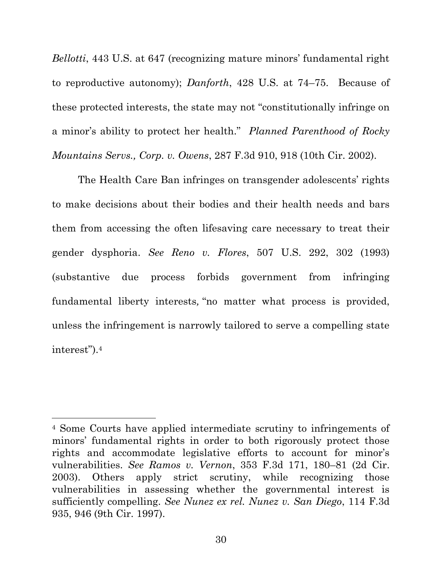*Bellotti*, 443 U.S. at 647 (recognizing mature minors' fundamental right to reproductive autonomy); *Danforth*, 428 U.S. at 74–75. Because of these protected interests, the state may not "constitutionally infringe on a minor's ability to protect her health." *Planned Parenthood of Rocky Mountains Servs., Corp. v. Owens*, 287 F.3d 910, 918 (10th Cir. 2002).

The Health Care Ban infringes on transgender adolescents' rights to make decisions about their bodies and their health needs and bars them from accessing the often lifesaving care necessary to treat their gender dysphoria. *See Reno v. Flores*, 507 U.S. 292, 302 (1993) (substantive due process forbids government from infringing fundamental liberty interests*,* "no matter what process is provided, unless the infringement is narrowly tailored to serve a compelling state interest").<sup>4</sup>

<sup>4</sup> Some Courts have applied intermediate scrutiny to infringements of minors' fundamental rights in order to both rigorously protect those rights and accommodate legislative efforts to account for minor's vulnerabilities. *See Ramos v. Vernon*, 353 F.3d 171, 180–81 (2d Cir. 2003). Others apply strict scrutiny, while recognizing those vulnerabilities in assessing whether the governmental interest is sufficiently compelling. *See Nunez ex rel. Nunez v. San Diego*, 114 F.3d 935, 946 (9th Cir. 1997).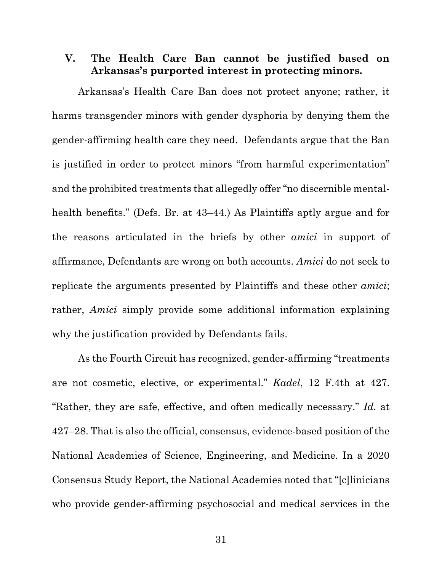## **V. The Health Care Ban cannot be justified based on Arkansas's purported interest in protecting minors.**

Arkansas's Health Care Ban does not protect anyone; rather, it harms transgender minors with gender dysphoria by denying them the gender-affirming health care they need. Defendants argue that the Ban is justified in order to protect minors "from harmful experimentation" and the prohibited treatments that allegedly offer "no discernible mentalhealth benefits." (Defs. Br. at 43–44.) As Plaintiffs aptly argue and for the reasons articulated in the briefs by other *amici* in support of affirmance, Defendants are wrong on both accounts. *Amici* do not seek to replicate the arguments presented by Plaintiffs and these other *amici*; rather, *Amici* simply provide some additional information explaining why the justification provided by Defendants fails.

As the Fourth Circuit has recognized, gender-affirming "treatments are not cosmetic, elective, or experimental." *Kadel*, 12 F.4th at 427. "Rather, they are safe, effective, and often medically necessary." *Id.* at 427–28. That is also the official, consensus, evidence-based position of the National Academies of Science, Engineering, and Medicine. In a 2020 Consensus Study Report, the National Academies noted that "[c]linicians who provide gender-affirming psychosocial and medical services in the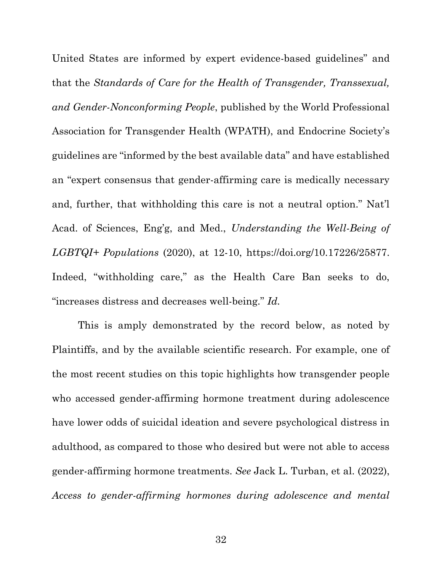United States are informed by expert evidence-based guidelines" and that the *Standards of Care for the Health of Transgender, Transsexual, and Gender-Nonconforming People*, published by the World Professional Association for Transgender Health (WPATH), and Endocrine Society's guidelines are "informed by the best available data" and have established an "expert consensus that gender-affirming care is medically necessary and, further, that withholding this care is not a neutral option." Nat'l Acad. of Sciences, Eng'g, and Med., *Understanding the Well-Being of LGBTQI+ Populations* (2020), at 12-10, [https://doi.org/10.17226/25877.](https://doi.org/10.17226/25877) Indeed, "withholding care," as the Health Care Ban seeks to do, "increases distress and decreases well-being." *Id.* 

This is amply demonstrated by the record below, as noted by Plaintiffs, and by the available scientific research. For example, one of the most recent studies on this topic highlights how transgender people who accessed gender-affirming hormone treatment during adolescence have lower odds of suicidal ideation and severe psychological distress in adulthood, as compared to those who desired but were not able to access gender-affirming hormone treatments. *See* Jack L. Turban, et al. (2022), *Access to gender-affirming hormones during adolescence and mental*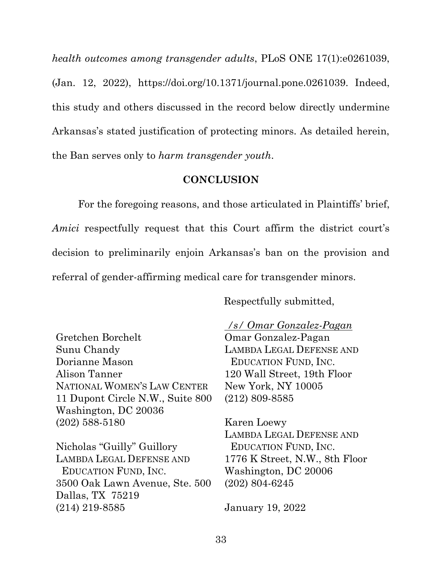*health outcomes among transgender adults*, PLoS ONE 17(1):e0261039, (Jan. 12, 2022), [https://doi.org/10.1371/journal.pone.0261039.](https://doi.org/10.1371/journal.pone.0261039) Indeed, this study and others discussed in the record below directly undermine Arkansas's stated justification of protecting minors. As detailed herein, the Ban serves only to *harm transgender youth*.

### **CONCLUSION**

For the foregoing reasons, and those articulated in Plaintiffs' brief, *Amici* respectfully request that this Court affirm the district court's decision to preliminarily enjoin Arkansas's ban on the provision and referral of gender-affirming medical care for transgender minors.

Respectfully submitted,

Gretchen Borchelt Sunu Chandy Dorianne Mason Alison Tanner NATIONAL WOMEN'S LAW CENTER 11 Dupont Circle N.W., Suite 800 Washington, DC 20036 (202) 588-5180

Nicholas "Guilly" Guillory LAMBDA LEGAL DEFENSE AND EDUCATION FUND, INC. 3500 Oak Lawn Avenue, Ste. 500 Dallas, TX 75219 (214) 219-8585

*/s/ Omar Gonzalez-Pagan*

Omar Gonzalez-Pagan LAMBDA LEGAL DEFENSE AND EDUCATION FUND, INC. 120 Wall Street, 19th Floor New York, NY 10005 (212) 809-8585

Karen Loewy LAMBDA LEGAL DEFENSE AND EDUCATION FUND, INC. 1776 K Street, N.W., 8th Floor Washington, DC 20006 (202) 804-6245

January 19, 2022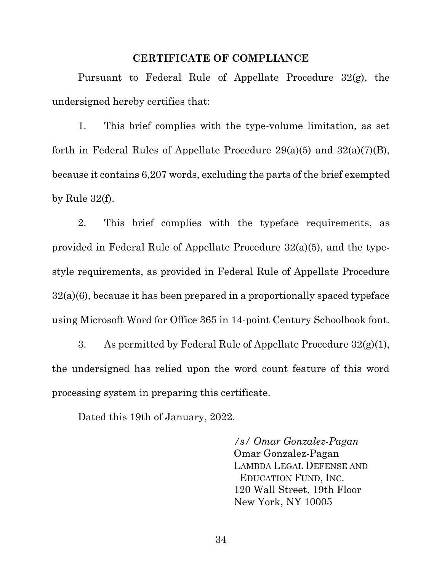#### **CERTIFICATE OF COMPLIANCE**

Pursuant to Federal Rule of Appellate Procedure 32(g), the undersigned hereby certifies that:

1. This brief complies with the type-volume limitation, as set forth in Federal Rules of Appellate Procedure  $29(a)(5)$  and  $32(a)(7)(B)$ , because it contains 6,207 words, excluding the parts of the brief exempted by Rule  $32(f)$ .

2. This brief complies with the typeface requirements, as provided in Federal Rule of Appellate Procedure 32(a)(5), and the typestyle requirements, as provided in Federal Rule of Appellate Procedure 32(a)(6), because it has been prepared in a proportionally spaced typeface using Microsoft Word for Office 365 in 14-point Century Schoolbook font.

3. As permitted by Federal Rule of Appellate Procedure  $32(g)(1)$ , the undersigned has relied upon the word count feature of this word processing system in preparing this certificate.

Dated this 19th of January, 2022.

*/s/ Omar Gonzalez-Pagan* Omar Gonzalez-Pagan LAMBDA LEGAL DEFENSE AND EDUCATION FUND, INC. 120 Wall Street, 19th Floor New York, NY 10005